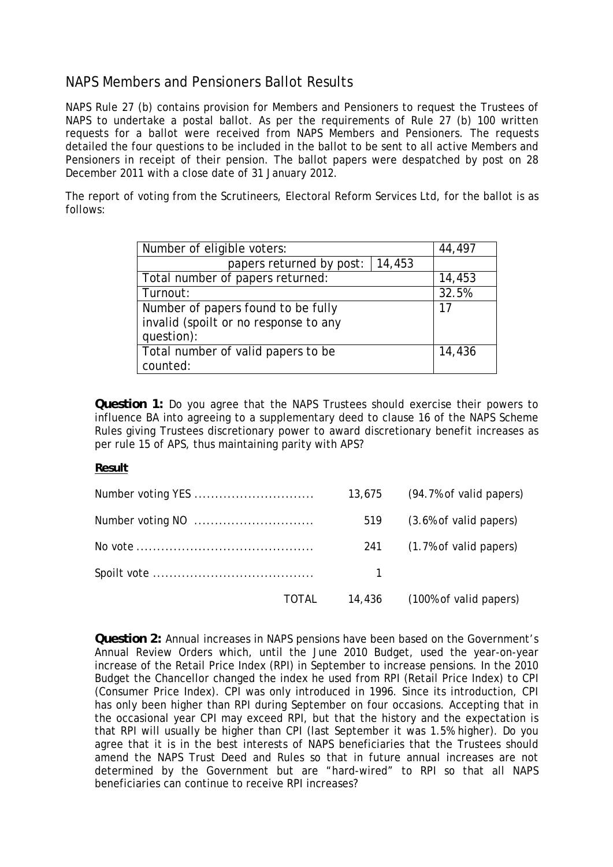# NAPS Members and Pensioners Ballot Results

NAPS Rule 27 (b) contains provision for Members and Pensioners to request the Trustees of NAPS to undertake a postal ballot. As per the requirements of Rule 27 (b) 100 written requests for a ballot were received from NAPS Members and Pensioners. The requests detailed the four questions to be included in the ballot to be sent to all active Members and Pensioners in receipt of their pension. The ballot papers were despatched by post on 28 December 2011 with a close date of 31 January 2012.

The report of voting from the Scrutineers, Electoral Reform Services Ltd, for the ballot is as follows:

| Number of eligible voters:            | 44,497 |
|---------------------------------------|--------|
| papers returned by post:<br>14,453    |        |
| Total number of papers returned:      | 14,453 |
| Turnout:                              | 32.5%  |
| Number of papers found to be fully    | 17     |
| invalid (spoilt or no response to any |        |
| question):                            |        |
| Total number of valid papers to be    | 14,436 |
| counted:                              |        |

**Question 1:** Do you agree that the NAPS Trustees should exercise their powers to influence BA into agreeing to a supplementary deed to clause 16 of the NAPS Scheme Rules giving Trustees discretionary power to award discretionary benefit increases as per rule 15 of APS, thus maintaining parity with APS?

### **Result**

|       | 13,675 | (94.7% of valid papers)       |
|-------|--------|-------------------------------|
|       | 519    | (3.6% of valid papers)        |
|       |        | 241 (1.7% of valid papers)    |
|       |        |                               |
| TOTAL |        | 14,436 (100% of valid papers) |

**Question 2:** Annual increases in NAPS pensions have been based on the Government's Annual Review Orders which, until the June 2010 Budget, used the year-on-year increase of the Retail Price Index (RPI) in September to increase pensions. In the 2010 Budget the Chancellor changed the index he used from RPI (Retail Price Index) to CPI (Consumer Price Index). CPI was only introduced in 1996. Since its introduction, CPI has only been higher than RPI during September on four occasions. Accepting that in the occasional year CPI may exceed RPI, but that the history and the expectation is that RPI will usually be higher than CPI (last September it was 1.5% higher). Do you agree that it is in the best interests of NAPS beneficiaries that the Trustees should amend the NAPS Trust Deed and Rules so that in future annual increases are not determined by the Government but are "hard-wired" to RPI so that all NAPS beneficiaries can continue to receive RPI increases?